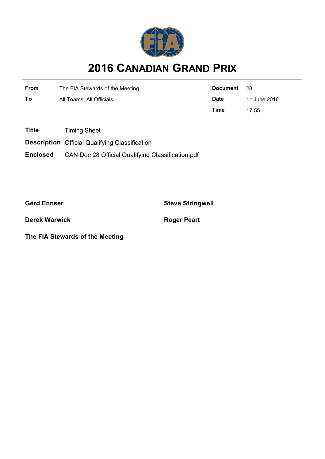

## **2016 CANADIAN GRAND PRIX**

| <b>From</b> | The FIA Stewards of the Meeting | Document    | - 28         |
|-------------|---------------------------------|-------------|--------------|
| To          | All Teams, All Officials        | <b>Date</b> | 11 June 2016 |
|             |                                 | Time        | 17:55        |

**Title** Timing Sheet

**Description** Official Qualifying Classification

**Enclosed** CAN Doc 28 Official Qualifying Classification.pdf

**Gerd Ennser Steve Stringwell**

**Derek Warwick Roger Peart** 

**The FIA Stewards of the Meeting**